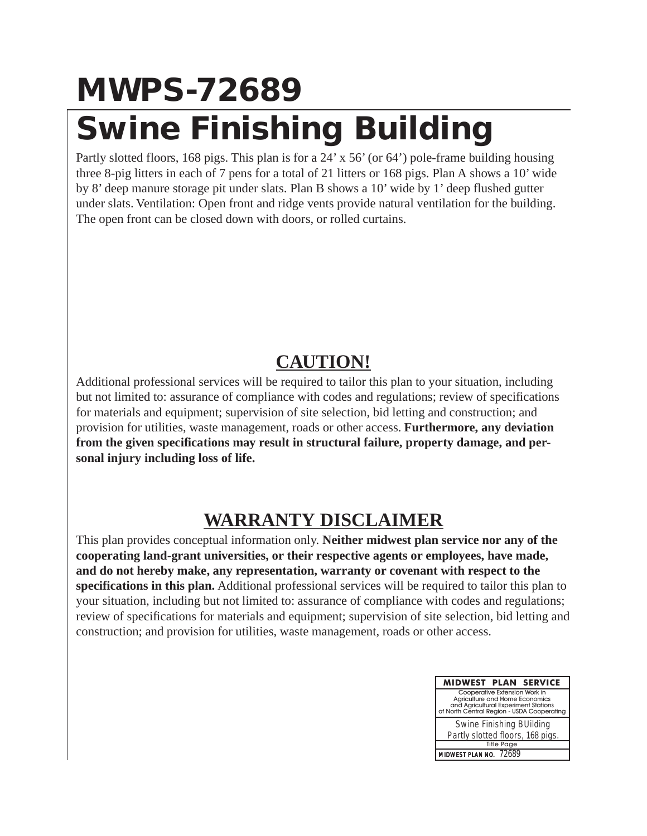## **MWPS-72689 Swine Finishing Building**

Partly slotted floors, 168 pigs. This plan is for a 24' x 56' (or 64') pole-frame building housing three 8-pig litters in each of 7 pens for a total of 21 litters or 168 pigs. Plan A shows a 10' wide by 8' deep manure storage pit under slats. Plan B shows a 10' wide by 1' deep flushed gutter under slats. Ventilation: Open front and ridge vents provide natural ventilation for the building. The open front can be closed down with doors, or rolled curtains.

## **CAUTION!**

Additional professional services will be required to tailor this plan to your situation, including but not limited to: assurance of compliance with codes and regulations; review of specifications for materials and equipment; supervision of site selection, bid letting and construction; and provision for utilities, waste management, roads or other access. **Furthermore, any deviation from the given specifications may result in structural failure, property damage, and personal injury including loss of life.**

## **WARRANTY DISCLAIMER**

This plan provides conceptual information only. **Neither midwest plan service nor any of the cooperating land-grant universities, or their respective agents or employees, have made, and do not hereby make, any representation, warranty or covenant with respect to the specifications in this plan.** Additional professional services will be required to tailor this plan to your situation, including but not limited to: assurance of compliance with codes and regulations; review of specifications for materials and equipment; supervision of site selection, bid letting and construction; and provision for utilities, waste management, roads or other access.

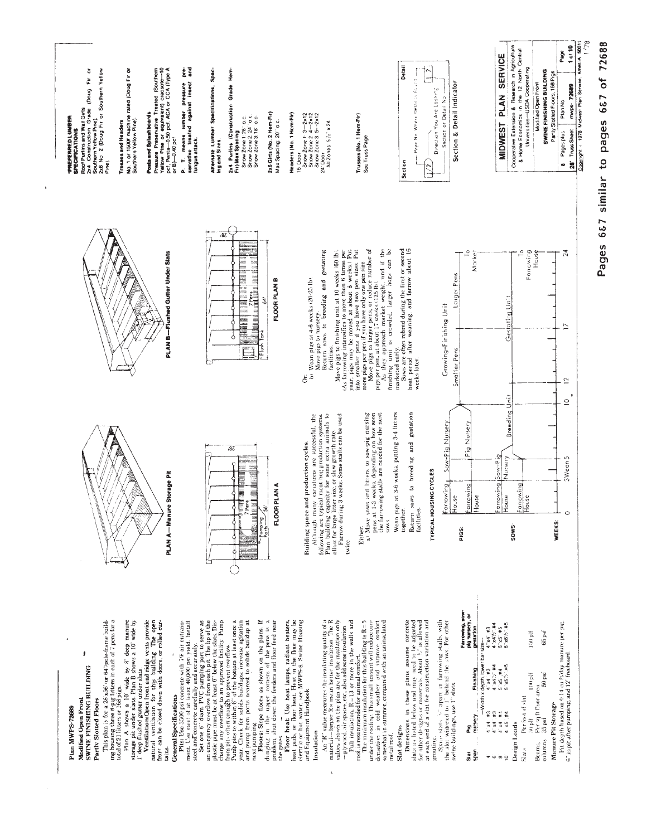| er<br>A<br>Pressure Preservative Treated (Southern<br>Yellow Pine or equivalent) creosote—10<br>pcf. Penta—0.50 pcf. ACA or CCA (Type A<br>ŏ<br>2x6 No 2 (Doug Fir or Southern Yellow<br>No. 1 or 1500f machine rated (Doug Fir or<br>Southern Yellow Pine),<br>Fir<br>P. T. means lumber pressure<br>servative treated against insect<br>Roof Purlins and Wall Girts<br>2x4 Construction Grade (Doug<br>Posts and Splashboards<br><b>PREFERRED LUMBER</b><br>SPECIFICATIONS<br>Southern Yellow Pine).<br>Trusses and Headers<br>or $B$ $-0.40$ pcf<br>fungus attack.<br>Pıne).                                                                                                                                                          | Alternate Lumber Specifications, Spac-<br>Ing and Sizes.<br>(Construction Grade Hem-<br>2x6 Girts (No. 2 Hem-Fir)<br>Headers (No. 1 Hem-Fir)<br>Snow Zone 1:28" o.c.<br>Snow Zone 2: 24" o.c.<br>Snow Zone 3:18" o.c.<br>Max Spacing: 20" o.c.<br>Fir) Max Spacing<br>2x4 Purlins<br>16 Door                                                                                                                                                                                                                                                                                                                                                                                                                                                                                                                                | Snow Zone 1: 3-2x12<br>Snow Zone 2: 4-2x12<br>Snow Zone 3.5--2x12<br>24 Door<br>Trusses (No. 1 Hem-Fir)<br>All Zones: 5 /z" x 24<br>Snow Zone 2<br>See Truss Page                                                                                                                                                                                                                                                                                                                                                                                                         | Detail<br>$\tilde{\sim}$<br>Page No. Where Detail is Fourid<br>Direction You Are Locking<br><b>Section</b>                                                                                                                                         | Section & Detail Indicator<br>Section or Detail No.                                                                                                                                                                                                                                                                                                                                                                   | Cooperative Extension & Research in Agriculture<br>& Home Economics in the 12 North Central<br><b>SERVICE</b><br>USDA Cooperating<br>SWINE FINISHING BUILDING<br>Modified Open Front<br><b>PLAN</b><br>Universities-<br><b>MIDWEST</b>                                                                                                                                                                                                                                                                                                           | 1/78<br>Copyright (1978 Midwest Plan Service, Ames IA 50011<br>1 of 10<br>Page<br>Partly Slotted Floors, 168 Pigs<br>mwps- 72689<br>Plan No<br>28' Truss Sheet<br>Pages plus<br>40 |
|------------------------------------------------------------------------------------------------------------------------------------------------------------------------------------------------------------------------------------------------------------------------------------------------------------------------------------------------------------------------------------------------------------------------------------------------------------------------------------------------------------------------------------------------------------------------------------------------------------------------------------------------------------------------------------------------------------------------------------------|-----------------------------------------------------------------------------------------------------------------------------------------------------------------------------------------------------------------------------------------------------------------------------------------------------------------------------------------------------------------------------------------------------------------------------------------------------------------------------------------------------------------------------------------------------------------------------------------------------------------------------------------------------------------------------------------------------------------------------------------------------------------------------------------------------------------------------|---------------------------------------------------------------------------------------------------------------------------------------------------------------------------------------------------------------------------------------------------------------------------------------------------------------------------------------------------------------------------------------------------------------------------------------------------------------------------------------------------------------------------------------------------------------------------|----------------------------------------------------------------------------------------------------------------------------------------------------------------------------------------------------------------------------------------------------|-----------------------------------------------------------------------------------------------------------------------------------------------------------------------------------------------------------------------------------------------------------------------------------------------------------------------------------------------------------------------------------------------------------------------|--------------------------------------------------------------------------------------------------------------------------------------------------------------------------------------------------------------------------------------------------------------------------------------------------------------------------------------------------------------------------------------------------------------------------------------------------------------------------------------------------------------------------------------------------|------------------------------------------------------------------------------------------------------------------------------------------------------------------------------------|
| Flushed Gutter Under Slats<br>PLANB-                                                                                                                                                                                                                                                                                                                                                                                                                                                                                                                                                                                                                                                                                                     | $\overline{\delta}$<br><u> Auhanderrötter (mandatal)</u><br><b>FLOOR PLAN B</b><br>L<br>Ÿ<br>ż<br><b>The Market of America</b><br>The Market of America<br>The Market of America<br>Tank<br>E<br>6<br>Flush                                                                                                                                                                                                                                                                                                                                                                                                                                                                                                                                                                                                                 | Move pigs to larger pens, or reduce number of<br>pigs per pen, at about 17 weeks $(125 \text{ lb})$ .<br>As they approach market weight, and if the<br>ತಿ<br>Move pigs to finishing unit at 10 weeks (60 lb).<br>(As farrowing intensifies to more than 6 times per<br>year, pigs may be moved at about 8 weeks.) Put<br>into smaller pens if you have two pen sizes. Put<br>Return sows to breeding and gestating<br>more pigs per pen if you have only one pen size.<br>b) Wean pigs at 4-6 weeks (20-25 lb)<br>Move pigs to nursery.<br>facilities.<br>ö               | Sows are often rebred during the first or second<br>heat period after weaning, and farrow about 16<br>finishing unit is crowded, larger hogs can marketed early.<br>weeks later.                                                                   | 으<br>Marke<br>Larger Pens<br>Growing-Finishing Unit<br>Smaller Pens                                                                                                                                                                                                                                                                                                                                                   | Ω<br>Farrowing<br>House<br>Gestating Unit                                                                                                                                                                                                                                                                                                                                                                                                                                                                                                        | $\mathbb{R}^2$<br>$\overline{1}$<br>$\overline{c}$                                                                                                                                 |
| e Storage Pit<br><b>PLAN A-Manu</b>                                                                                                                                                                                                                                                                                                                                                                                                                                                                                                                                                                                                                                                                                                      | 38 <sub>1</sub><br><b>The Constitution</b><br><b>FLOOR PLANA</b><br><b>OTELL BESTEED</b><br>Ë<br>۰ō<br><b>THE STATES OF</b><br>Pumping<br>÷.                                                                                                                                                                                                                                                                                                                                                                                                                                                                                                                                                                                                                                                                                | a) Move sows and litters to sow-pig nursing<br>pens at 1-3 weeks, depending on how soon<br>the farrowing stalls are needed for the next<br>Although many variations are successful, the<br>Plan building capacity for some extra animals to<br>allow for large litter size, or slow growth rate.<br>Farrow during 3 weeks. Some stalls can be used<br>following are typical meat hog production systems<br>Building space and production cycles.<br>SOWS.<br>Either.<br>twice.                                                                                            | gestation<br>Wean pigs at 3-6 weeks, putting 3-4 litters<br>sows to breeding and<br>TYPICAL HOUSING CYCLES<br>together<br>facilities<br>Return                                                                                                     | Sow-Pig Nursery<br>Pig Nursery<br>arrowing<br>privoura<br>touse<br>louse<br>PIGS                                                                                                                                                                                                                                                                                                                                      | Breeding Unit<br>Sow-Pig<br>Nursery<br>privous<br>paround<br>louse<br>touse<br>SOWS-                                                                                                                                                                                                                                                                                                                                                                                                                                                             | $\subseteq$<br>3Wean 5<br>$\circ$<br><b>WEEKS:</b>                                                                                                                                 |
| ing housing three 8-pig litters in each of 7 pens for a<br>total of 21 litters or 168 pigs.<br>This plan is for a 26 x56' (or 64') pole-frame build-<br>Plan A shows a 10 wide by $\theta$ deep manure<br>streps in the planet in the shows a 10 wide by<br>1 deep fluished gratter under slass.<br>1 deep fluished gratter under slass.<br><b>Ventilation:Open front and ridge wents provide</b><br>from tan<br><b>Pits:</b> Use 3500 psi concrete with $7\%$ air entrainment. Use stee! of at least $40,000$ psi yield. Install<br>steel and concrete carefully and accurately.<br>\$<br><b>SWINE FINISHING BUILDING</b><br><b>General Specifications</b><br>Modified Open Front<br>Partly Slotted Floors<br>Plan MWPS-72689<br>tains. | Set one is diam. PVC pumping port to serve as<br>an emergency overflow from each pit. The lip of the<br>plastic pipe must be at least 6" below the slats. Dis-<br>charge any overflow to an approved facility. Pump<br>Pump pits to within 6" of the bottom at least once a<br>year. Check for solids buildups; increase agitation<br>and pump from ports nearest to solids buildup at<br>Floors: Slope floors as shown on the plans. If<br>¢<br>problem, shut down the feeders and floor feed near<br>Floor heat: Use heat lamps, radiant heaters,<br>elect pads, or floor heat. Heat in the floor may be<br>elect pads, or floor heat. Heat in the floor may be<br>and Equipment Handbook<br>corners of the pens is<br>from pits often enough to prevent overflow.<br>dunging in the upper<br>next pumping.<br>the gates. | material-larger Rs mean better insulation. The R<br>An "R" value measures the insulating quality of a<br>values shown on the plan are for the insulation only<br>Full insulation, R=13 or more in the walls and<br>The minimum insulation for this building is $R = 5$<br>densation in cold weather and improve comfort somewhat in summer, compared with an uninsulated<br>under the roofing. This small amount will reduce con-<br>-plywood, air spaces, etc., also add some insulation.<br>roof, is recommended for animal comfort.<br>Insulation<br>metal roof.<br>ţ, | Dimensions in these plans assume concrete<br>slats as listed below and may need to be adjusted for other designs or materials. About $\frac{1}{2}$ is allowed<br>at each end of a slat for construction variation and<br>Slat designs<br>grouting. | Farrowing, sow-<br>pig nursery, or<br>$\frac{1}{2}$ Space stats $\frac{1}{12}$ apart in farrowing stalls, with the slot widered to 1" behind the sows. For other swine buildings, use 1" slots<br>$4 \times 4 \times 3$<br>$4 \times 4 \times 7$<br>gestation<br>-Width x depth, lower bar size --<br>Finishing<br>្នុ<br>$4 \times 4$<br>$4 \times 4 = 13$<br>$4 \times 4 = 13$<br>Liasunu<br>å<br>span<br>$\bar{a}$ | $6^{\circ} \times 5^{\circ}$ #5<br>$6^{\circ} \times 6^{\circ}/2^{\circ}$ #5<br>$65$ psf<br>150 pH<br>$\frac{4}{5}$ , $\times5$ , $\frac{44}{5}$ , $\frac{144}{5}$<br>$\frac{5}{5}$ , $\times5$ , $\frac{14}{5}$ , $\frac{145}{5}$<br>50 <sub>psd</sub><br>$100\,\mathrm{pi}$<br>50 pH<br>Per sq ft floor area<br>Perfoot of slat<br>$\begin{smallmatrix} 0 & 0 \\ 0 & 0 \end{smallmatrix}$<br>$\ddot{\ddot{\phantom{a}}}$<br>35 psf<br>$4 \times 5$<br>$4^{\circ} \times 4$<br>Design Loads<br>columns<br>Beams,<br>$_{\rm Slats}$<br>နစ်ထားခဲ့ | Pit depth based on 0.14 cu ft'day manure per pig,<br>6" in pit after pumping, and 12" freeboard.<br>Manure Pit Storage                                                             |

Pages 687 similar to pages 687 of 72688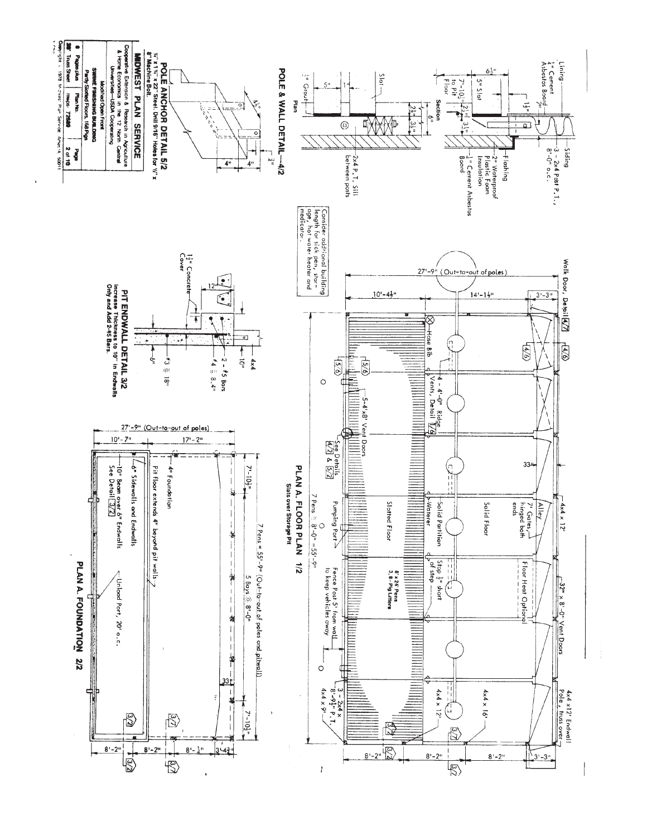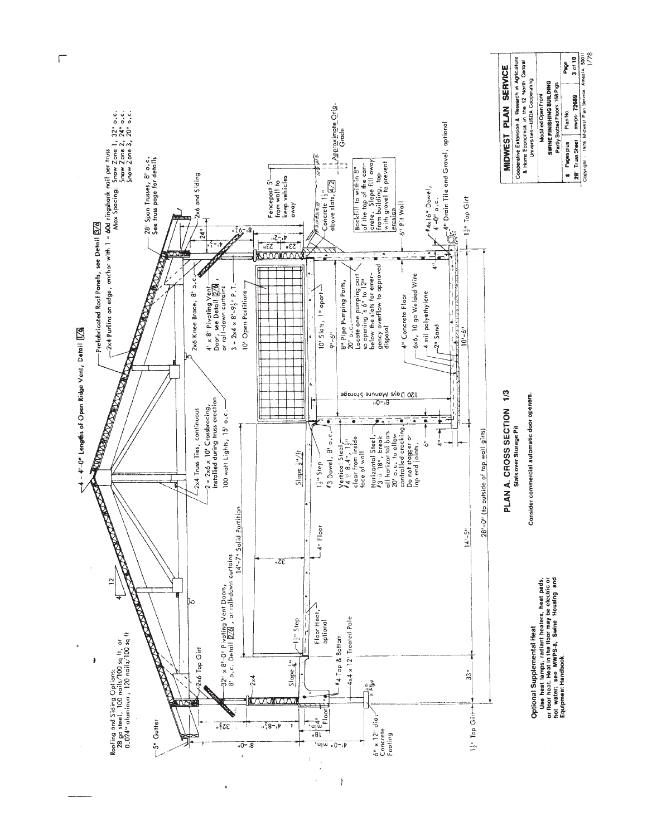

 $\sqrt{2}$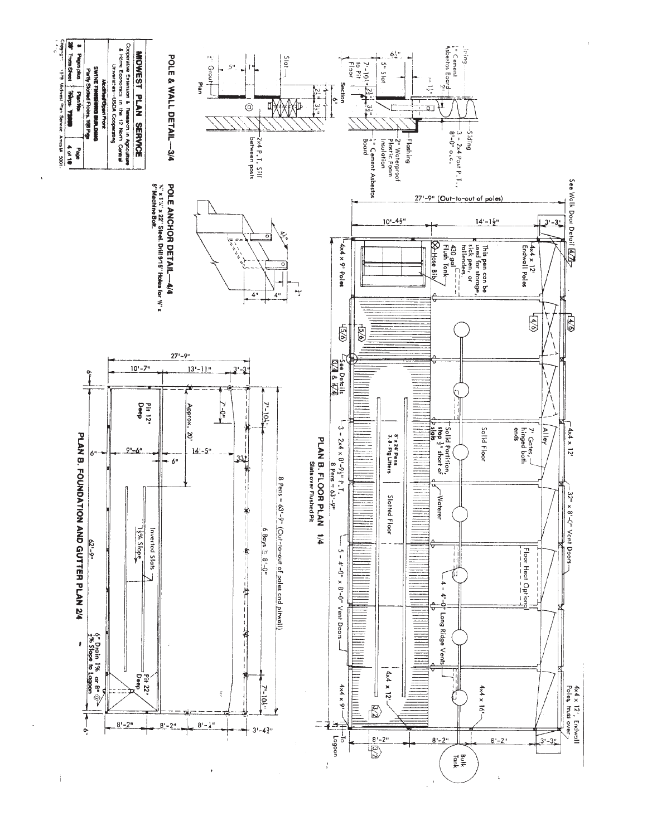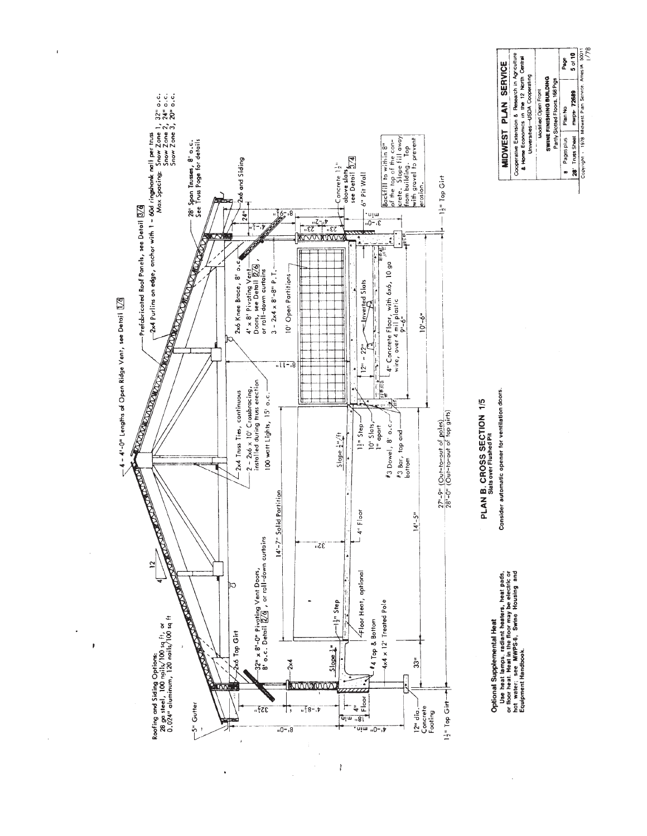

 $\overline{1}$ 

 $\ddot{\phantom{a}}$ 

ï

 $\frac{1}{2}$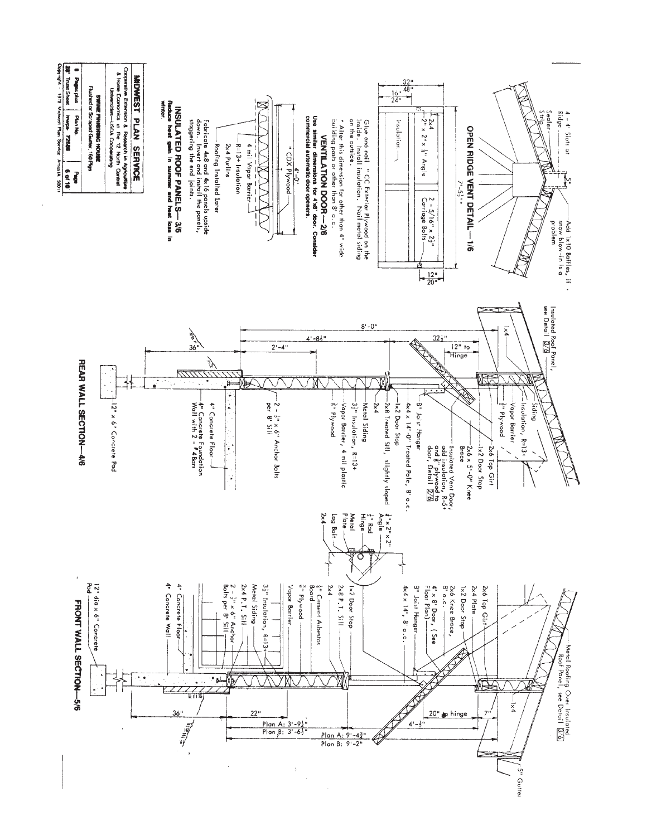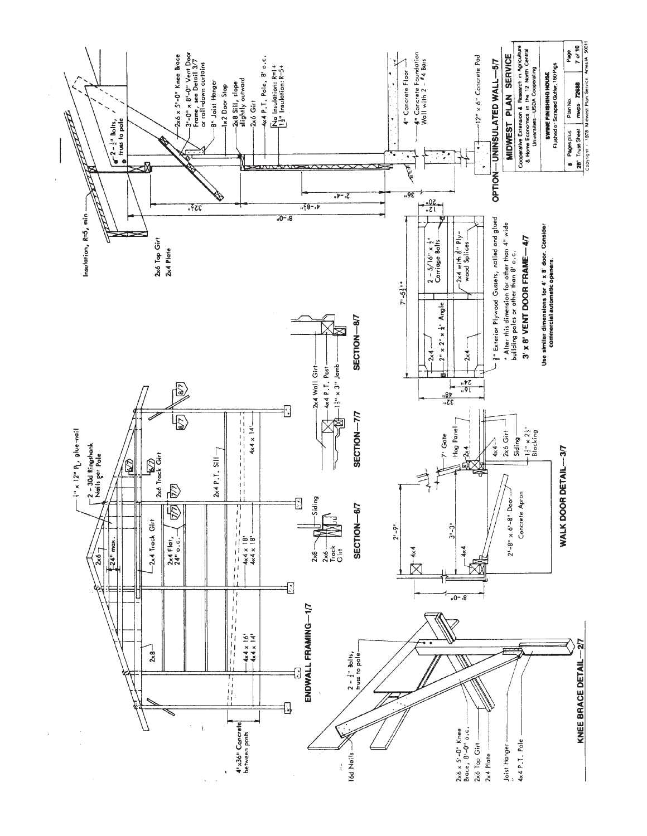